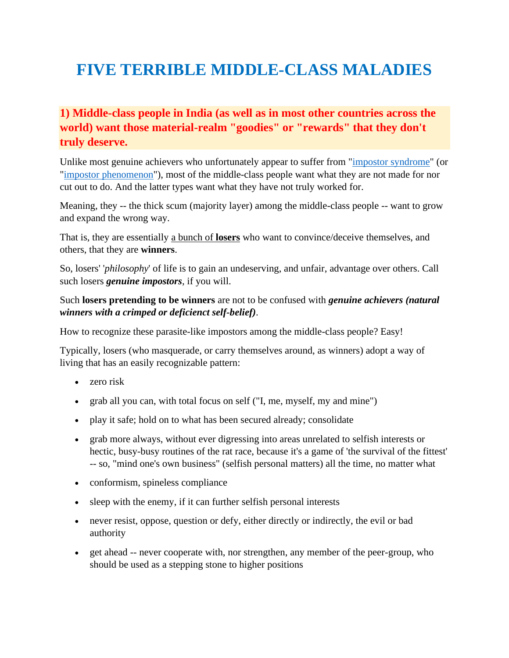# **FIVE TERRIBLE MIDDLE-CLASS MALADIES**

#### **1) Middle-class people in India (as well as in most other countries across the world) want those material-realm "goodies" or "rewards" that they don't truly deserve.**

Unlike most genuine achievers who unfortunately appear to suffer from ["impostor syndrome"](https://www.lexico.com/definition/impostor_syndrome) (or ["impostor phenomenon"](https://www.lexico.com/definition/impostor_phenomenon)), most of the middle-class people want what they are not made for nor cut out to do. And the latter types want what they have not truly worked for.

Meaning, they -- the thick scum (majority layer) among the middle-class people -- want to grow and expand the wrong way.

That is, they are essentially [a bunch of](https://www.nrinatter.com/maladies) **losers** who want to convince/deceive themselves, and others, that they are **winners**.

So, losers' '*philosophy*' of life is to gain an undeserving, and unfair, advantage over others. Call such losers *genuine impostors*, if you will.

#### Such **losers pretending to be winners** are not to be confused with *genuine achievers (natural winners with a crimped or deficienct self-belief)*.

How to recognize these parasite-like impostors among the middle-class people? Easy!

Typically, losers (who masquerade, or carry themselves around, as winners) adopt a way of living that has an easily recognizable pattern:

- zero risk
- grab all you can, with total focus on self ("I, me, myself, my and mine")
- play it safe; hold on to what has been secured already; consolidate
- grab more always, without ever digressing into areas unrelated to selfish interests or hectic, busy-busy routines of the rat race, because it's a game of 'the survival of the fittest' -- so, "mind one's own business" (selfish personal matters) all the time, no matter what
- conformism, spineless compliance
- sleep with the enemy, if it can further selfish personal interests
- never resist, oppose, question or defy, either directly or indirectly, the evil or bad authority
- get ahead -- never cooperate with, nor strengthen, any member of the peer-group, who should be used as a stepping stone to higher positions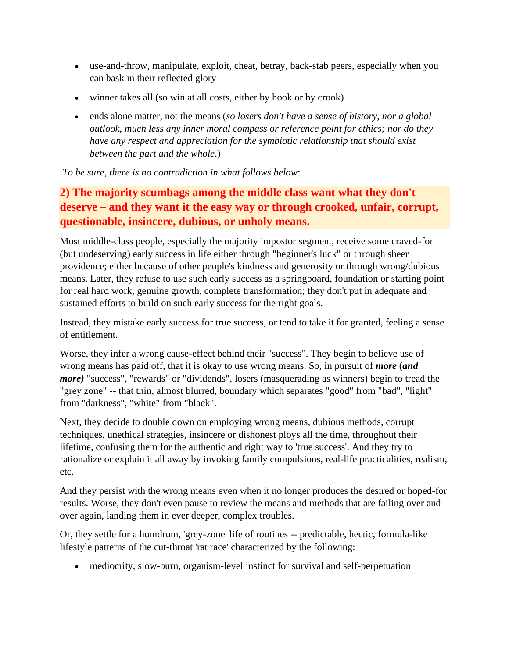- use-and-throw, manipulate, exploit, cheat, betray, back-stab peers, especially when you can bask in their reflected glory
- winner takes all (so win at all costs, either by hook or by crook)
- ends alone matter, not the means (*so losers don't have a sense of history, nor a global outlook, much less any inner moral compass or reference point for ethics; nor do they have any respect and appreciation for the symbiotic relationship that should exist between the part and the whole*.)

*To be sure, there is no contradiction in what follows below*:

## **2) The majority scumbags among the middle class want what they don't deserve – and they want it the easy way or through crooked, unfair, corrupt, questionable, insincere, dubious, or unholy means.**

Most middle-class people, especially the majority impostor segment, receive some craved-for (but undeserving) early success in life either through "beginner's luck" or through sheer providence; either because of other people's kindness and generosity or through wrong/dubious means. Later, they refuse to use such early success as a springboard, foundation or starting point for real hard work, genuine growth, complete transformation; they don't put in adequate and sustained efforts to build on such early success for the right goals.

Instead, they mistake early success for true success, or tend to take it for granted, feeling a sense of entitlement.

Worse, they infer a wrong cause-effect behind their "success". They begin to believe use of wrong means has paid off, that it is okay to use wrong means. So, in pursuit of *more* (*and more*) "success", "rewards" or "dividends", losers (masquerading as winners) begin to tread the "grey zone" -- that thin, almost blurred, boundary which separates "good" from "bad", "light" from "darkness", "white" from "black".

Next, they decide to double down on employing wrong means, dubious methods, corrupt techniques, unethical strategies, insincere or dishonest ploys all the time, throughout their lifetime, confusing them for the authentic and right way to 'true success'. And they try to rationalize or explain it all away by invoking family compulsions, real-life practicalities, realism, etc.

And they persist with the wrong means even when it no longer produces the desired or hoped-for results. Worse, they don't even pause to review the means and methods that are failing over and over again, landing them in ever deeper, complex troubles.

Or, they settle for a humdrum, 'grey-zone' life of routines -- predictable, hectic, formula-like lifestyle patterns of the cut-throat 'rat race' characterized by the following:

• mediocrity, slow-burn, organism-level instinct for survival and self-perpetuation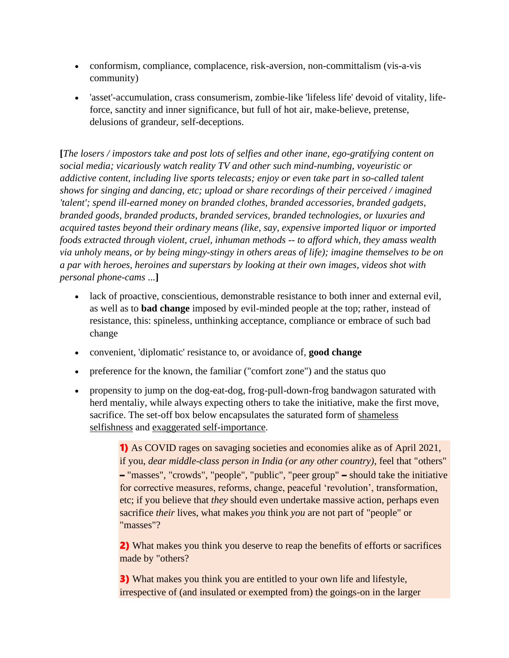- conformism, compliance, complacence, risk-aversion, non-committalism (vis-a-vis community)
- 'asset'-accumulation, crass consumerism, zombie-like 'lifeless life' devoid of vitality, lifeforce, sanctity and inner significance, but full of hot air, make-believe, pretense, delusions of grandeur, self-deceptions.

**[***The losers / impostors take and post lots of selfies and other inane, ego-gratifying content on social media; vicariously watch reality TV and other such mind-numbing, voyeuristic or addictive content, including live sports telecasts; enjoy or even take part in so-called talent shows for singing and dancing, etc; upload or share recordings of their perceived / imagined 'talent'; spend ill-earned money on branded clothes, branded accessories, branded gadgets, branded goods, branded products, branded services, branded technologies, or luxuries and acquired tastes beyond their ordinary means (like, say, expensive imported liquor or imported foods extracted through violent, cruel, inhuman methods -- to afford which, they amass wealth via unholy means, or by being mingy-stingy in others areas of life); imagine themselves to be on a par with heroes, heroines and superstars by looking at their own images, videos shot with personal phone-cams* ...**]**

- lack of proactive, conscientious, demonstrable resistance to both inner and external evil, as well as to **bad change** imposed by evil-minded people at the top; rather, instead of resistance, this: spineless, unthinking acceptance, compliance or embrace of such bad change
- convenient, 'diplomatic' resistance to, or avoidance of, **good change**
- preference for the known, the familiar ("comfort zone") and the status quo
- propensity to jump on the dog-eat-dog, frog-pull-down-frog bandwagon saturated with herd mentaliy, while always expecting others to take the initiative, make the first move, sacrifice. The set-off box below encapsulates the saturated form of shameless selfishness and exaggerated self-importance.

1) As COVID rages on savaging societies and economies alike as of April 2021, if you, *dear middle-class person in India (or any other country)*, feel that "others" – "masses", "crowds", "people", "public", "peer group" – should take the initiative for corrective measures, reforms, change, peaceful 'revolution', transformation, etc; if you believe that *they* should even undertake massive action, perhaps even sacrifice *their* lives, what makes *you* think *you* are not part of "people" or "masses"?

2) What makes you think you deserve to reap the benefits of efforts or sacrifices made by "others?

3) What makes you think you are entitled to your own life and lifestyle, irrespective of (and insulated or exempted from) the goings-on in the larger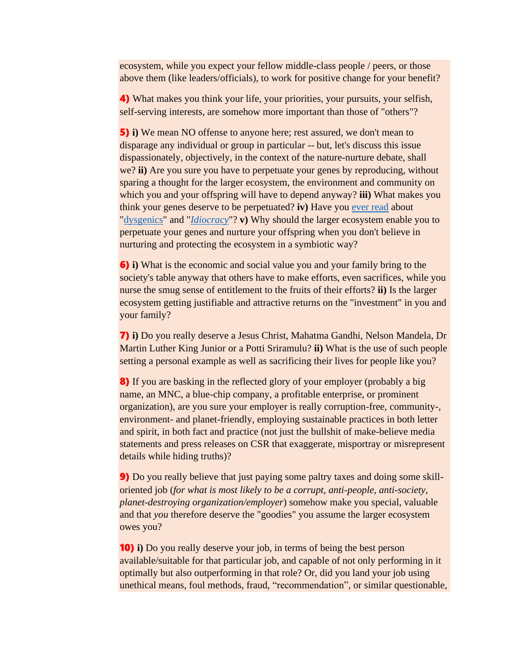ecosystem, while you expect your fellow middle-class people / peers, or those above them (like leaders/officials), to work for positive change for your benefit?

4) What makes you think your life, your priorities, your pursuits, your selfish, self-serving interests, are somehow more important than those of "others"?

5) **i)** We mean NO offense to anyone here; rest assured, we don't mean to disparage any individual or group in particular -- but, let's discuss this issue dispassionately, objectively, in the context of the nature-nurture debate, shall we? **ii)** Are you sure you have to perpetuate your genes by reproducing, without sparing a thought for the larger ecosystem, the environment and community on which you and your offspring will have to depend anyway? **iii)** What makes you think your genes deserve to be perpetuated? **iv)** Have you [ever read](https://en.wikipedia.org/wiki/Dysgenics) about ["dysgenics"](https://www.lexico.com/definition/dysgenic?s=t) and "*[Idiocracy](https://en.wikipedia.org/wiki/Idiocracy)*"? **v)** Why should the larger ecosystem enable you to perpetuate your genes and nurture your offspring when you don't believe in nurturing and protecting the ecosystem in a symbiotic way?

6) **i)** What is the economic and social value you and your family bring to the society's table anyway that others have to make efforts, even sacrifices, while you nurse the smug sense of entitlement to the fruits of their efforts? **ii)** Is the larger ecosystem getting justifiable and attractive returns on the "investment" in you and your family?

7) **i)** Do you really deserve a Jesus Christ, Mahatma Gandhi, Nelson Mandela, Dr Martin Luther King Junior or a Potti Sriramulu? **ii)** What is the use of such people setting a personal example as well as sacrificing their lives for people like you?

8) If you are basking in the reflected glory of your employer (probably a big name, an MNC, a blue-chip company, a profitable enterprise, or prominent organization), are you sure your employer is really corruption-free, community-, environment- and planet-friendly, employing sustainable practices in both letter and spirit, in both fact and practice (not just the bullshit of make-believe media statements and press releases on CSR that exaggerate, misportray or misrepresent details while hiding truths)?

9) Do you really believe that just paying some paltry taxes and doing some skilloriented job (*for what is most likely to be a corrupt, anti-people, anti-society, planet-destroying organization/employer*) somehow make you special, valuable and that *you* therefore deserve the "goodies" you assume the larger ecosystem owes you?

10) **i)** Do you really deserve your job, in terms of being the best person available/suitable for that particular job, and capable of not only performing in it optimally but also outperforming in that role? Or, did you land your job using unethical means, foul methods, fraud, "recommendation", or similar questionable,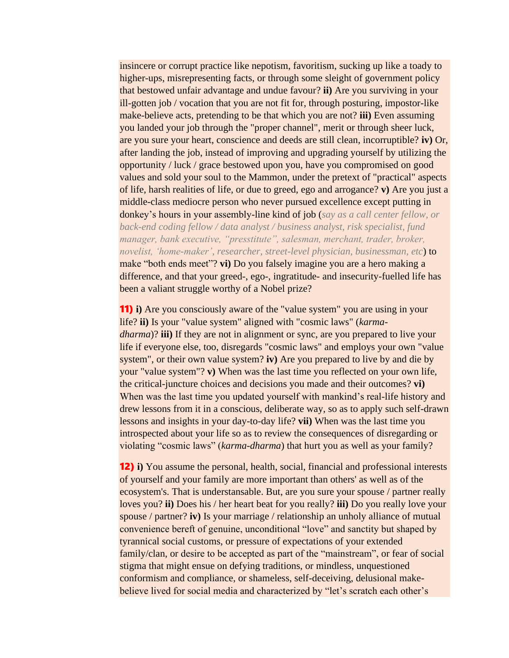insincere or corrupt practice like nepotism, favoritism, sucking up like a toady to higher-ups, misrepresenting facts, or through some sleight of government policy that bestowed unfair advantage and undue favour? **ii)** Are you surviving in your ill-gotten job / vocation that you are not fit for, through posturing, impostor-like make-believe acts, pretending to be that which you are not? **iii)** Even assuming you landed your job through the "proper channel", merit or through sheer luck, are you sure your heart, conscience and deeds are still clean, incorruptible? **iv)** Or, after landing the job, instead of improving and upgrading yourself by utilizing the opportunity / luck / grace bestowed upon you, have you compromised on good values and sold your soul to the Mammon, under the pretext of "practical" aspects of life, harsh realities of life, or due to greed, ego and arrogance? **v)** Are you just a middle-class mediocre person who never pursued excellence except putting in donkey's hours in your assembly-line kind of job (*say as a call center fellow, or back-end coding fellow / data analyst / business analyst, risk specialist, fund manager, bank executive, "presstitute", salesman, merchant, trader, broker, novelist, 'home-maker', researcher, street-level physician, businessman, etc*) to make "both ends meet"? **vi)** Do you falsely imagine you are a hero making a difference, and that your greed-, ego-, ingratitude- and insecurity-fuelled life has been a valiant struggle worthy of a Nobel prize?

11) **i)** Are you consciously aware of the "value system" you are using in your life? **ii)** Is your "value system" aligned with "cosmic laws" (*karmadharma*)? **iii)** If they are not in alignment or sync, are you prepared to live your life if everyone else, too, disregards "cosmic laws" and employs your own "value system", or their own value system? **iv)** Are you prepared to live by and die by your "value system"? **v)** When was the last time you reflected on your own life, the critical-juncture choices and decisions you made and their outcomes? **vi)** When was the last time you updated yourself with mankind's real-life history and drew lessons from it in a conscious, deliberate way, so as to apply such self-drawn lessons and insights in your day-to-day life? **vii)** When was the last time you introspected about your life so as to review the consequences of disregarding or violating "cosmic laws" (*karma-dharma*) that hurt you as well as your family?

12) **i)** You assume the personal, health, social, financial and professional interests of yourself and your family are more important than others' as well as of the ecosystem's. That is understansable. But, are you sure your spouse / partner really loves you? **ii)** Does his / her heart beat for you really? **iii)** Do you really love your spouse / partner? **iv)** Is your marriage / relationship an unholy alliance of mutual convenience bereft of genuine, unconditional "love" and sanctity but shaped by tyrannical social customs, or pressure of expectations of your extended family/clan, or desire to be accepted as part of the "mainstream", or fear of social stigma that might ensue on defying traditions, or mindless, unquestioned conformism and compliance, or shameless, self-deceiving, delusional makebelieve lived for social media and characterized by "let's scratch each other's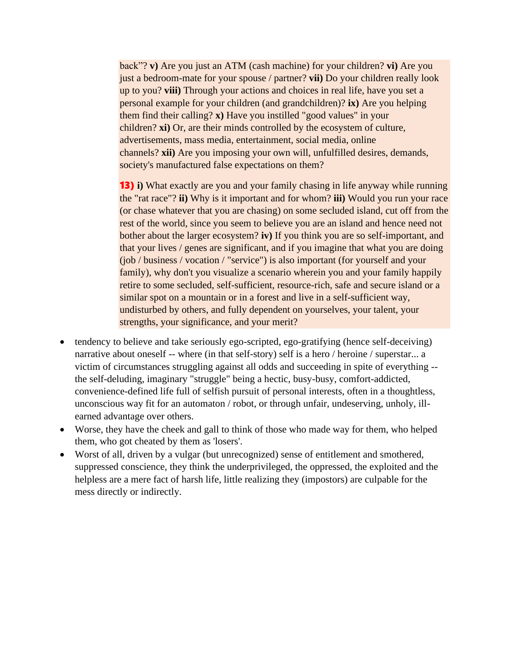back"? **v)** Are you just an ATM (cash machine) for your children? **vi)** Are you just a bedroom-mate for your spouse / partner? **vii)** Do your children really look up to you? **viii)** Through your actions and choices in real life, have you set a personal example for your children (and grandchildren)? **ix)** Are you helping them find their calling? **x)** Have you instilled "good values" in your children? **xi)** Or, are their minds controlled by the ecosystem of culture, advertisements, mass media, entertainment, social media, online channels? **xii)** Are you imposing your own will, unfulfilled desires, demands, society's manufactured false expectations on them?

13) **i)** What exactly are you and your family chasing in life anyway while running the "rat race"? **ii)** Why is it important and for whom? **iii)** Would you run your race (or chase whatever that you are chasing) on some secluded island, cut off from the rest of the world, since you seem to believe you are an island and hence need not bother about the larger ecosystem? **iv)** If you think you are so self-important, and that your lives / genes are significant, and if you imagine that what you are doing (job / business / vocation / "service") is also important (for yourself and your family), why don't you visualize a scenario wherein you and your family happily retire to some secluded, self-sufficient, resource-rich, safe and secure island or a similar spot on a mountain or in a forest and live in a self-sufficient way, undisturbed by others, and fully dependent on yourselves, your talent, your strengths, your significance, and your merit?

- tendency to believe and take seriously ego-scripted, ego-gratifying (hence self-deceiving) narrative about oneself -- where (in that self-story) self is a hero / heroine / superstar... a victim of circumstances struggling against all odds and succeeding in spite of everything - the self-deluding, imaginary "struggle" being a hectic, busy-busy, comfort-addicted, convenience-defined life full of selfish pursuit of personal interests, often in a thoughtless, unconscious way fit for an automaton / robot, or through unfair, undeserving, unholy, illearned advantage over others.
- Worse, they have the cheek and gall to think of those who made way for them, who helped them, who got cheated by them as 'losers'.
- Worst of all, driven by a vulgar (but unrecognized) sense of entitlement and smothered, suppressed conscience, they think the underprivileged, the oppressed, the exploited and the helpless are a mere fact of harsh life, little realizing they (impostors) are culpable for the mess directly or indirectly.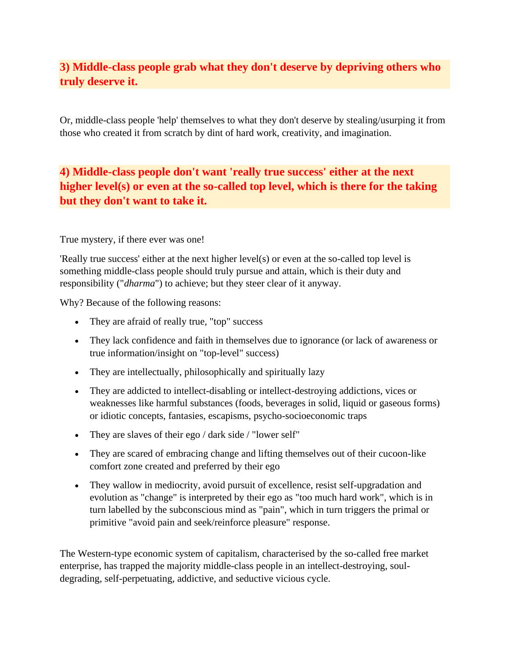#### **3) Middle-class people grab what they don't deserve by depriving others who truly deserve it.**

Or, middle-class people 'help' themselves to what they don't deserve by stealing/usurping it from those who created it from scratch by dint of hard work, creativity, and imagination.

### **4) Middle-class people don't want 'really true success' either at the next higher level(s) or even at the so-called top level, which is there for the taking but they don't want to take it.**

#### True mystery, if there ever was one!

'Really true success' either at the next higher level(s) or even at the so-called top level is something middle-class people should truly pursue and attain, which is their duty and responsibility ("*dharma*") to achieve; but they steer clear of it anyway.

Why? Because of the following reasons:

- They are afraid of really true, "top" success
- They lack confidence and faith in themselves due to ignorance (or lack of awareness or true information/insight on "top-level" success)
- They are intellectually, philosophically and spiritually lazy
- They are addicted to intellect-disabling or intellect-destroying addictions, vices or weaknesses like harmful substances (foods, beverages in solid, liquid or gaseous forms) or idiotic concepts, fantasies, escapisms, psycho-socioeconomic traps
- They are slaves of their ego / dark side / "lower self"
- They are scared of embracing change and lifting themselves out of their cucoon-like comfort zone created and preferred by their ego
- They wallow in mediocrity, avoid pursuit of excellence, resist self-upgradation and evolution as "change" is interpreted by their ego as "too much hard work", which is in turn labelled by the subconscious mind as "pain", which in turn triggers the primal or primitive "avoid pain and seek/reinforce pleasure" response.

The Western-type economic system of capitalism, characterised by the so-called free market enterprise, has trapped the majority middle-class people in an intellect-destroying, souldegrading, self-perpetuating, addictive, and seductive vicious cycle.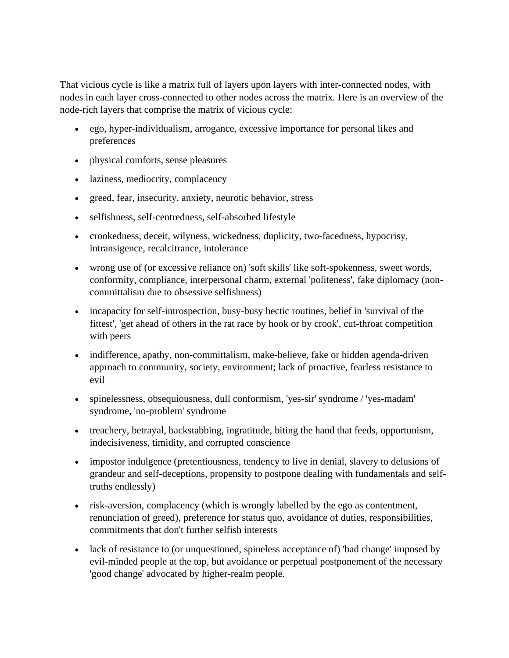That vicious cycle is like a matrix full of layers upon layers with inter-connected nodes, with nodes in each layer cross-connected to other nodes across the matrix. Here is an overview of the node-rich layers that comprise the matrix of vicious cycle:

- ego, hyper-individualism, arrogance, excessive importance for personal likes and preferences
- physical comforts, sense pleasures
- laziness, mediocrity, complacency
- greed, fear, insecurity, anxiety, neurotic behavior, stress
- selfishness, self-centredness, self-absorbed lifestyle
- crookedness, deceit, wilyness, wickedness, duplicity, two-facedness, hypocrisy, intransigence, recalcitrance, intolerance
- wrong use of (or excessive reliance on) 'soft skills' like soft-spokenness, sweet words, conformity, compliance, interpersonal charm, external 'politeness', fake diplomacy (noncommittalism due to obsessive selfishness)
- incapacity for self-introspection, busy-busy hectic routines, belief in 'survival of the fittest', 'get ahead of others in the rat race by hook or by crook', cut-throat competition with peers
- indifference, apathy, non-committalism, make-believe, fake or hidden agenda-driven approach to community, society, environment; lack of proactive, fearless resistance to evil
- spinelessness, obsequiousness, dull conformism, 'yes-sir' syndrome / 'yes-madam' syndrome, 'no-problem' syndrome
- treachery, betrayal, backstabbing, ingratitude, biting the hand that feeds, opportunism, indecisiveness, timidity, and corrupted conscience
- impostor indulgence (pretentiousness, tendency to live in denial, slavery to delusions of grandeur and self-deceptions, propensity to postpone dealing with fundamentals and selftruths endlessly)
- risk-aversion, complacency (which is wrongly labelled by the ego as contentment, renunciation of greed), preference for status quo, avoidance of duties, responsibilities, commitments that don't further selfish interests
- lack of resistance to (or unquestioned, spineless acceptance of) 'bad change' imposed by evil-minded people at the top, but avoidance or perpetual postponement of the necessary 'good change' advocated by higher-realm people.